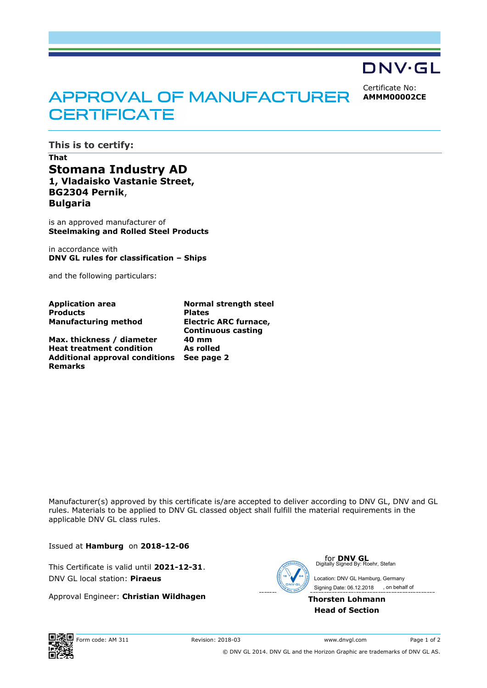## DNV·GL

Certificate No: **AMMM00002CE**

## APPROVAL OF MANUFACTURER **CERTIFICATE**

**This is to certify: That Stomana Industry AD 1, Vladaisko Vastanie Street, BG2304 Pernik**, **Bulgaria**

is an approved manufacturer of **Steelmaking and Rolled Steel Products**

in accordance with **DNV GL rules for classification – Ships**

and the following particulars:

| <b>Application area</b>               | <b>Normal strength steel</b> |
|---------------------------------------|------------------------------|
| <b>Products</b>                       | <b>Plates</b>                |
| <b>Manufacturing method</b>           | Electric ARC furnace,        |
|                                       | <b>Continuous casting</b>    |
| Max. thickness / diameter             | 40 mm                        |
| <b>Heat treatment condition</b>       | As rolled                    |
| <b>Additional approval conditions</b> | See page 2                   |
| <b>Remarks</b>                        |                              |

Manufacturer(s) approved by this certificate is/are accepted to deliver according to DNV GL, DNV and GL rules. Materials to be applied to DNV GL classed object shall fulfill the material requirements in the applicable DNV GL class rules.

Issued at **Hamburg** on **2018-12-06**

This Certificate is valid until **2021-12-31**. DNV GL local station: **Piraeus**

Approval Engineer: **Christian Wildhagen**



**for DNV GL**<br>Digitally Signed By: Roehr, Stefan

 Signing Date: 06.12.2018 Location: DNV GL Hamburg, Germany , on behalf of

**Thorsten Lohmann** Digitally Signed By: Roehr, Stefan<br>Location: DNV GL Hamburg, Germa<br>Signing Date: 06.12.2018<br>**horsten Lohmann<br>Head of Section** 



© DNV GL 2014. DNV GL and the Horizon Graphic are trademarks of DNV GL AS.